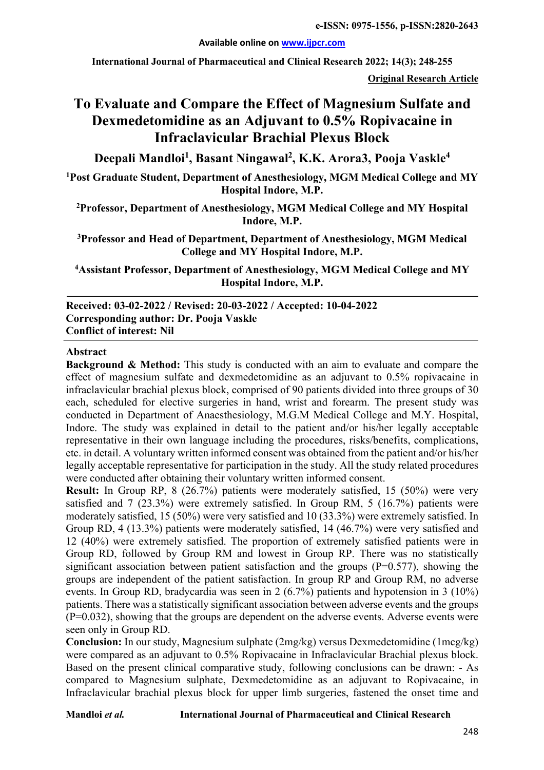**Available online on www.ijpcr.com**

**International Journal of Pharmaceutical and Clinical Research 2022; 14(3); 248-255**

**Original Research Article**

# **To Evaluate and Compare the Effect of Magnesium Sulfate and Dexmedetomidine as an Adjuvant to 0.5% Ropivacaine in Infraclavicular Brachial Plexus Block**

**Deepali Mandloi1 , Basant Ningawal2 , K.K. Arora3, Pooja Vaskle4**

**1 Post Graduate Student, Department of Anesthesiology, MGM Medical College and MY Hospital Indore, M.P.**

**2 Professor, Department of Anesthesiology, MGM Medical College and MY Hospital Indore, M.P.**

**3 Professor and Head of Department, Department of Anesthesiology, MGM Medical College and MY Hospital Indore, M.P.**

**4 Assistant Professor, Department of Anesthesiology, MGM Medical College and MY Hospital Indore, M.P.**

**Received: 03-02-2022 / Revised: 20-03-2022 / Accepted: 10-04-2022 Corresponding author: Dr. Pooja Vaskle Conflict of interest: Nil**

#### **Abstract**

**Background & Method:** This study is conducted with an aim to evaluate and compare the effect of magnesium sulfate and dexmedetomidine as an adjuvant to 0.5% ropivacaine in infraclavicular brachial plexus block, comprised of 90 patients divided into three groups of 30 each, scheduled for elective surgeries in hand, wrist and forearm. The present study was conducted in Department of Anaesthesiology, M.G.M Medical College and M.Y. Hospital, Indore. The study was explained in detail to the patient and/or his/her legally acceptable representative in their own language including the procedures, risks/benefits, complications, etc. in detail. A voluntary written informed consent was obtained from the patient and/or his/her legally acceptable representative for participation in the study. All the study related procedures were conducted after obtaining their voluntary written informed consent.

**Result:** In Group RP, 8 (26.7%) patients were moderately satisfied, 15 (50%) were very satisfied and 7 (23.3%) were extremely satisfied. In Group RM, 5 (16.7%) patients were moderately satisfied, 15 (50%) were very satisfied and 10 (33.3%) were extremely satisfied. In Group RD, 4 (13.3%) patients were moderately satisfied, 14 (46.7%) were very satisfied and 12 (40%) were extremely satisfied. The proportion of extremely satisfied patients were in Group RD, followed by Group RM and lowest in Group RP. There was no statistically significant association between patient satisfaction and the groups  $(P=0.577)$ , showing the groups are independent of the patient satisfaction. In group RP and Group RM, no adverse events. In Group RD, bradycardia was seen in 2 (6.7%) patients and hypotension in 3 (10%) patients. There was a statistically significant association between adverse events and the groups (P=0.032), showing that the groups are dependent on the adverse events. Adverse events were seen only in Group RD.

**Conclusion:** In our study, Magnesium sulphate (2mg/kg) versus Dexmedetomidine (1mcg/kg) were compared as an adjuvant to 0.5% Ropivacaine in Infraclavicular Brachial plexus block. Based on the present clinical comparative study, following conclusions can be drawn: - As compared to Magnesium sulphate, Dexmedetomidine as an adjuvant to Ropivacaine, in Infraclavicular brachial plexus block for upper limb surgeries, fastened the onset time and

#### **Mandloi** *et al.* **International Journal of Pharmaceutical and Clinical Research**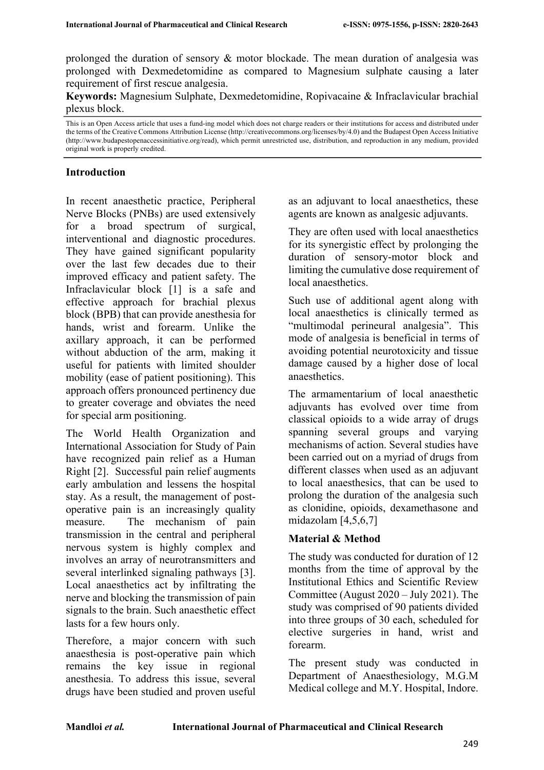prolonged the duration of sensory & motor blockade. The mean duration of analgesia was prolonged with Dexmedetomidine as compared to Magnesium sulphate causing a later requirement of first rescue analgesia.

**Keywords:** Magnesium Sulphate, Dexmedetomidine, Ropivacaine & Infraclavicular brachial plexus block.

This is an Open Access article that uses a fund-ing model which does not charge readers or their institutions for access and distributed under the terms of the Creative Commons Attribution License (http://creativecommons.org/licenses/by/4.0) and the Budapest Open Access Initiative (http://www.budapestopenaccessinitiative.org/read), which permit unrestricted use, distribution, and reproduction in any medium, provided original work is properly credited.

#### **Introduction**

In recent anaesthetic practice, Peripheral Nerve Blocks (PNBs) are used extensively for a broad spectrum of surgical, interventional and diagnostic procedures. They have gained significant popularity over the last few decades due to their improved efficacy and patient safety. The Infraclavicular block [1] is a safe and effective approach for brachial plexus block (BPB) that can provide anesthesia for hands, wrist and forearm. Unlike the axillary approach, it can be performed without abduction of the arm, making it useful for patients with limited shoulder mobility (ease of patient positioning). This approach offers pronounced pertinency due to greater coverage and obviates the need for special arm positioning.

The World Health Organization and International Association for Study of Pain have recognized pain relief as a Human Right [2]. Successful pain relief augments early ambulation and lessens the hospital stay. As a result, the management of postoperative pain is an increasingly quality measure. The mechanism of pain transmission in the central and peripheral nervous system is highly complex and involves an array of neurotransmitters and several interlinked signaling pathways [3]. Local anaesthetics act by infiltrating the nerve and blocking the transmission of pain signals to the brain. Such anaesthetic effect lasts for a few hours only.

Therefore, a major concern with such anaesthesia is post-operative pain which remains the key issue in regional anesthesia. To address this issue, several drugs have been studied and proven useful as an adjuvant to local anaesthetics, these agents are known as analgesic adjuvants.

They are often used with local anaesthetics for its synergistic effect by prolonging the duration of sensory-motor block and limiting the cumulative dose requirement of local anaesthetics.

Such use of additional agent along with local anaesthetics is clinically termed as "multimodal perineural analgesia". This mode of analgesia is beneficial in terms of avoiding potential neurotoxicity and tissue damage caused by a higher dose of local anaesthetics.

The armamentarium of local anaesthetic adjuvants has evolved over time from classical opioids to a wide array of drugs spanning several groups and varying mechanisms of action. Several studies have been carried out on a myriad of drugs from different classes when used as an adjuvant to local anaesthesics, that can be used to prolong the duration of the analgesia such as clonidine, opioids, dexamethasone and midazolam [4,5,6,7]

# **Material & Method**

The study was conducted for duration of 12 months from the time of approval by the Institutional Ethics and Scientific Review Committee (August 2020 – July 2021). The study was comprised of 90 patients divided into three groups of 30 each, scheduled for elective surgeries in hand, wrist and forearm.

The present study was conducted in Department of Anaesthesiology, M.G.M Medical college and M.Y. Hospital, Indore.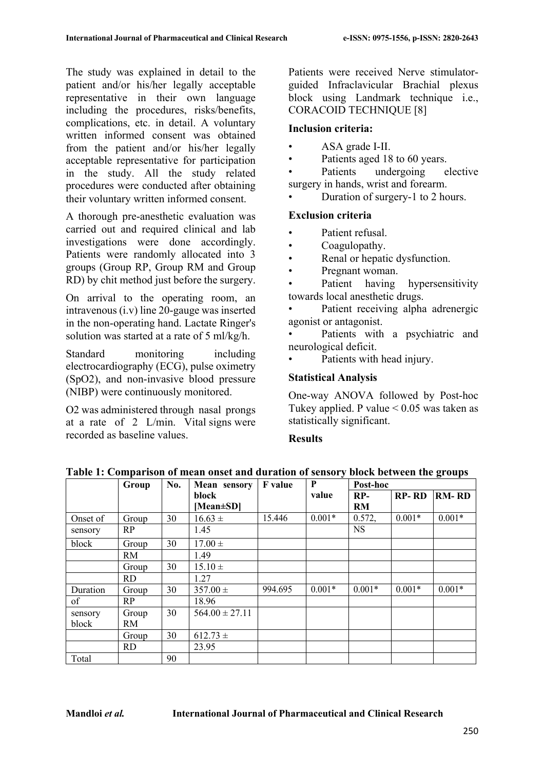The study was explained in detail to the patient and/or his/her legally acceptable representative in their own language including the procedures, risks/benefits, complications, etc. in detail. A voluntary written informed consent was obtained from the patient and/or his/her legally acceptable representative for participation in the study. All the study related procedures were conducted after obtaining their voluntary written informed consent.

A thorough pre-anesthetic evaluation was carried out and required clinical and lab investigations were done accordingly. Patients were randomly allocated into 3 groups (Group RP, Group RM and Group RD) by chit method just before the surgery.

On arrival to the operating room, an intravenous (i.v) line 20-gauge was inserted in the non-operating hand. Lactate Ringer's solution was started at a rate of 5 ml/kg/h.

Standard monitoring including electrocardiography (ECG), pulse oximetry (SpO2), and non-invasive blood pressure (NIBP) were continuously monitored.

O2 was administered through nasal prongs at a rate of 2 L/min. Vital signs were recorded as baseline values.

Patients were received Nerve stimulatorguided Infraclavicular Brachial plexus block using Landmark technique i.e., CORACOID TECHNIQUE [8]

# **Inclusion criteria:**

- ASA grade I-II.
- Patients aged 18 to 60 years.

Patients undergoing elective surgery in hands, wrist and forearm.

Duration of surgery-1 to 2 hours.

# **Exclusion criteria**

- Patient refusal.
- Coagulopathy.
- Renal or hepatic dysfunction.
- Pregnant woman.

Patient having hypersensitivity towards local anesthetic drugs.

Patient receiving alpha adrenergic agonist or antagonist.

Patients with a psychiatric and neurological deficit.

Patients with head injury.

# **Statistical Analysis**

One-way ANOVA followed by Post-hoc Tukey applied. P value  $\leq 0.05$  was taken as statistically significant.

#### **Results**

|          | Group     | No. | <b>Mean</b> sensory | <b>F</b> value | P        | Post-hoc  |              |              |
|----------|-----------|-----|---------------------|----------------|----------|-----------|--------------|--------------|
|          |           |     | block               |                | value    | $RP-$     | <b>RP-RD</b> | <b>RM-RD</b> |
|          |           |     | [Mean $\pm$ SD]     |                |          | <b>RM</b> |              |              |
| Onset of | Group     | 30  | $16.63 \pm$         | 15.446         | $0.001*$ | 0.572,    | $0.001*$     | $0.001*$     |
| sensory  | RP        |     | 1.45                |                |          | <b>NS</b> |              |              |
| block    | Group     | 30  | $17.00 \pm$         |                |          |           |              |              |
|          | RM        |     | 1.49                |                |          |           |              |              |
|          | Group     | 30  | $15.10 \pm$         |                |          |           |              |              |
|          | <b>RD</b> |     | 1.27                |                |          |           |              |              |
| Duration | Group     | 30  | $357.00 \pm$        | 994.695        | $0.001*$ | $0.001*$  | $0.001*$     | $0.001*$     |
| of       | RP        |     | 18.96               |                |          |           |              |              |
| sensory  | Group     | 30  | $564.00 \pm 27.11$  |                |          |           |              |              |
| block    | RM        |     |                     |                |          |           |              |              |
|          | Group     | 30  | $612.73 \pm$        |                |          |           |              |              |
|          | <b>RD</b> |     | 23.95               |                |          |           |              |              |
| Total    |           | 90  |                     |                |          |           |              |              |

**Table 1: Comparison of mean onset and duration of sensory block between the groups**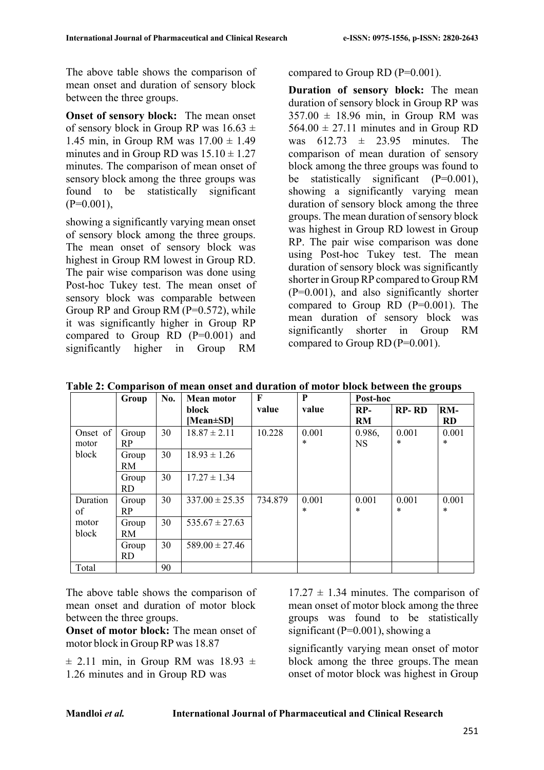The above table shows the comparison of mean onset and duration of sensory block between the three groups.

**Onset of sensory block:** The mean onset of sensory block in Group RP was  $16.63 \pm$ 1.45 min, in Group RM was  $17.00 \pm 1.49$ minutes and in Group RD was  $15.10 \pm 1.27$ minutes. The comparison of mean onset of sensory block among the three groups was found to be statistically significant  $(P=0.001)$ ,

showing a significantly varying mean onset of sensory block among the three groups. The mean onset of sensory block was highest in Group RM lowest in Group RD. The pair wise comparison was done using Post-hoc Tukey test. The mean onset of sensory block was comparable between Group RP and Group RM  $(P=0.572)$ , while it was significantly higher in Group RP compared to Group  $RD$   $(P=0.001)$  and significantly higher in Group RM

compared to Group RD (P=0.001).

**Duration of sensory block:** The mean duration of sensory block in Group RP was  $357.00 \pm 18.96$  min, in Group RM was  $564.00 \pm 27.11$  minutes and in Group RD was  $612.73 \pm 23.95$  minutes. The comparison of mean duration of sensory block among the three groups was found to be statistically significant  $(P=0.001)$ , showing a significantly varying mean duration of sensory block among the three groups. The mean duration of sensory block was highest in Group RD lowest in Group RP. The pair wise comparison was done using Post-hoc Tukey test. The mean duration of sensory block was significantly shorter in Group RP compared to Group RM (P=0.001), and also significantly shorter compared to Group RD  $(P=0.001)$ . The mean duration of sensory block was significantly shorter in Group RM compared to Group  $RD(P=0.001)$ .

|          | Group     | No. | <b>Mean motor</b>  | F       | P      | Post-hoc  |              |           |
|----------|-----------|-----|--------------------|---------|--------|-----------|--------------|-----------|
|          |           |     | block              | value   | value  | RP-       | <b>RP-RD</b> | $RM-$     |
|          |           |     | [Mean±SD]          |         |        | <b>RM</b> |              | <b>RD</b> |
| Onset of | Group     | 30  | $18.87 \pm 2.11$   | 10.228  | 0.001  | 0.986,    | 0.001        | 0.001     |
| motor    | <b>RP</b> |     |                    |         | $\ast$ | <b>NS</b> | $\ast$       | $\ast$    |
| block    | Group     | 30  | $18.93 \pm 1.26$   |         |        |           |              |           |
|          | <b>RM</b> |     |                    |         |        |           |              |           |
|          | Group     | 30  | $17.27 \pm 1.34$   |         |        |           |              |           |
|          | RD.       |     |                    |         |        |           |              |           |
| Duration | Group     | 30  | $337.00 \pm 25.35$ | 734.879 | 0.001  | 0.001     | 0.001        | 0.001     |
| of       | <b>RP</b> |     |                    |         | *      | $\ast$    | $\ast$       | $\ast$    |
| motor    | Group     | 30  | $535.67 \pm 27.63$ |         |        |           |              |           |
| block    | <b>RM</b> |     |                    |         |        |           |              |           |
|          | Group     | 30  | $589.00 \pm 27.46$ |         |        |           |              |           |
|          | <b>RD</b> |     |                    |         |        |           |              |           |
| Total    |           | 90  |                    |         |        |           |              |           |

**Table 2: Comparison of mean onset and duration of motor block between the groups**

The above table shows the comparison of mean onset and duration of motor block between the three groups.

**Onset of motor block:** The mean onset of motor block in GroupRP was 18.87

 $\pm$  2.11 min, in Group RM was 18.93  $\pm$ 1.26 minutes and in Group RD was

 $17.27 \pm 1.34$  minutes. The comparison of mean onset of motor block among the three groups was found to be statistically significant ( $P=0.001$ ), showing a

significantly varying mean onset of motor block among the three groups.The mean onset of motor block was highest in Group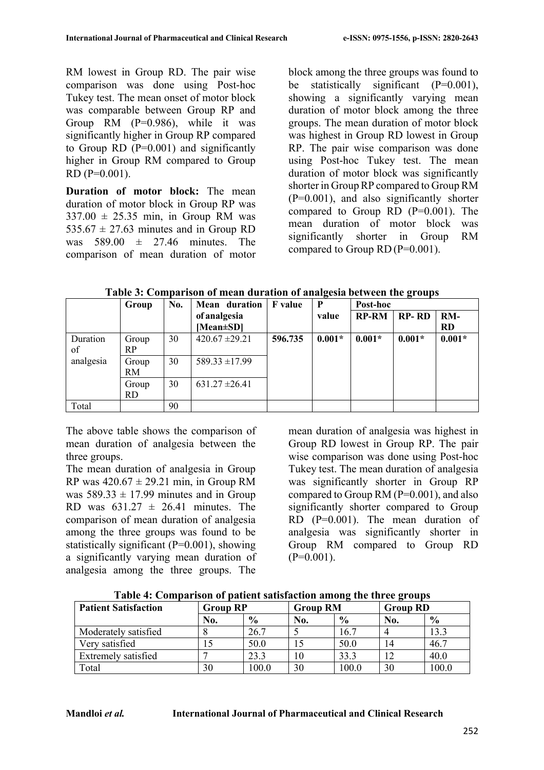RM lowest in Group RD. The pair wise comparison was done using Post-hoc Tukey test. The mean onset of motor block was comparable between Group RP and Group RM (P=0.986), while it was significantly higher in Group RP compared to Group RD  $(P=0.001)$  and significantly higher in Group RM compared to Group RD (P=0.001).

**Duration of motor block:** The mean duration of motor block in Group RP was  $337.00 \pm 25.35$  min, in Group RM was  $535.67 \pm 27.63$  minutes and in Group RD was  $589.00 \pm 27.46$  minutes. The comparison of mean duration of motor block among the three groups was found to be statistically significant  $(P=0.001)$ , showing a significantly varying mean duration of motor block among the three groups. The mean duration of motor block was highest in Group RD lowest in Group RP. The pair wise comparison was done using Post-hoc Tukey test. The mean duration of motor block was significantly shorter in Group RP compared to Group RM  $(P=0.001)$ , and also significantly shorter compared to Group RD (P=0.001). The mean duration of motor block was significantly shorter in Group RM compared to Group  $RD(P=0.001)$ .

**Table 3: Comparison of mean duration of analgesia between the groups Group No. Mean duration F value P Post-hoc**

|           | Group     | No. | Mean duration      | <b>F</b> value | P        | Post-hoc     |              |           |
|-----------|-----------|-----|--------------------|----------------|----------|--------------|--------------|-----------|
|           |           |     | of analgesia       |                | value    | <b>RP-RM</b> | <b>RP-RD</b> | RM-       |
|           |           |     | [Mean $\pm$ SD]    |                |          |              |              | <b>RD</b> |
| Duration  | Group     | 30  | $420.67 \pm 29.21$ | 596.735        | $0.001*$ | $0.001*$     | $0.001*$     | $0.001*$  |
| of        | <b>RP</b> |     |                    |                |          |              |              |           |
| analgesia | Group     | 30  | $589.33 \pm 17.99$ |                |          |              |              |           |
|           | <b>RM</b> |     |                    |                |          |              |              |           |
|           | Group     | 30  | $631.27 \pm 26.41$ |                |          |              |              |           |
|           | <b>RD</b> |     |                    |                |          |              |              |           |
| Total     |           | 90  |                    |                |          |              |              |           |

The above table shows the comparison of mean duration of analgesia between the three groups.

The mean duration of analgesia in Group RP was  $420.67 \pm 29.21$  min, in Group RM was  $589.33 \pm 17.99$  minutes and in Group RD was  $631.27 \pm 26.41$  minutes. The comparison of mean duration of analgesia among the three groups was found to be statistically significant (P=0.001), showing a significantly varying mean duration of analgesia among the three groups. The

mean duration of analgesia was highest in Group RD lowest in Group RP. The pair wise comparison was done using Post-hoc Tukey test. The mean duration of analgesia was significantly shorter in Group RP compared to Group RM (P=0.001), and also significantly shorter compared to Group RD (P=0.001). The mean duration of analgesia was significantly shorter in Group RM compared to Group RD  $(P=0.001)$ .

| <b>Patient Satisfaction</b> | <b>Group RP</b> |               | <b>Group RM</b> | $\overline{\phantom{a}}$ | -<br><b>Group RD</b> |               |
|-----------------------------|-----------------|---------------|-----------------|--------------------------|----------------------|---------------|
|                             | No.             | $\frac{6}{9}$ | No.             | $\frac{0}{0}$            | No.                  | $\frac{6}{9}$ |
| Moderately satisfied        |                 | 26.7          |                 | 16.7                     |                      | 13.3          |
| Very satisfied              |                 | 50.0          | 15              | 50.0                     | 14                   | 46.7          |
| Extremely satisfied         |                 | 23.3          | 10              | 33.3                     | 12                   | 40.0          |
| Total                       | 30              | 100.0         | 30              | 100.0                    | 30                   | 100.0         |

**Table 4: Comparison of patient satisfaction among the three groups**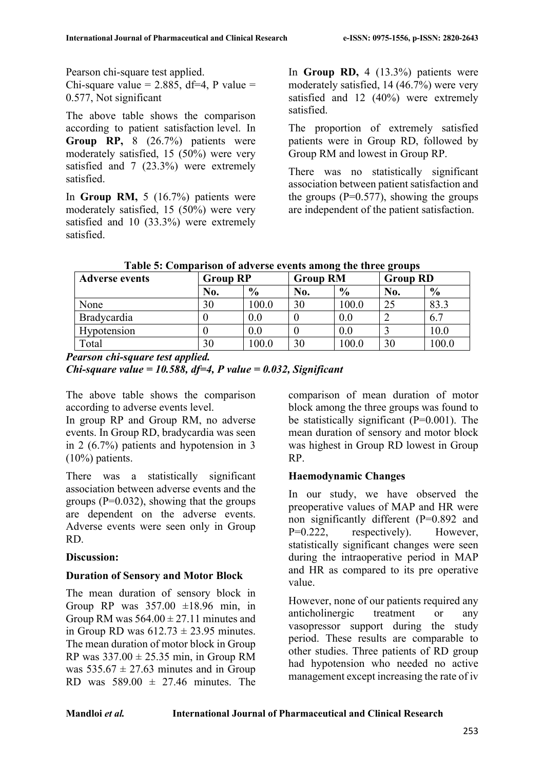Pearson chi-square test applied.

Chi-square value = 2.885, df=4, P value = 0.577, Not significant

The above table shows the comparison according to patient satisfaction level. In **Group RP,** 8 (26.7%) patients were moderately satisfied, 15 (50%) were very satisfied and 7 (23.3%) were extremely satisfied.

In **Group RM,** 5 (16.7%) patients were moderately satisfied, 15 (50%) were very satisfied and 10 (33.3%) were extremely satisfied.

In **Group RD,** 4 (13.3%) patients were moderately satisfied, 14 (46.7%) were very satisfied and 12 (40%) were extremely satisfied.

The proportion of extremely satisfied patients were in Group RD, followed by Group RM and lowest in Group RP.

There was no statistically significant association between patient satisfaction and the groups  $(P=0.577)$ , showing the groups are independent of the patient satisfaction.

| Table 5: Comparison of adverse events among the three groups |  |  |  |  |
|--------------------------------------------------------------|--|--|--|--|
|                                                              |  |  |  |  |

| <b>Adverse events</b> | <b>Group RP</b> |               | <b>Group RM</b> |               | <b>Group RD</b> |               |  |
|-----------------------|-----------------|---------------|-----------------|---------------|-----------------|---------------|--|
|                       | No.             | $\frac{6}{6}$ | No.             | $\frac{0}{0}$ | No.             | $\frac{6}{9}$ |  |
| None                  | 30              | 100.0         | 30              | 100.0         | 25              | 83.3          |  |
| Bradycardia           |                 | 0.0           |                 | 0.0           |                 | 6.7           |  |
| Hypotension           |                 | 0.0           |                 | 0.0           |                 | 10.0          |  |
| Total                 | 30              | 100.0         | 30              | 100.0         | 30              | 100.0         |  |

*Pearson chi-square test applied. Chi-square value = 10.588, df=4, P value = 0.032, Significant*

The above table shows the comparison according to adverse events level.

In group RP and Group RM, no adverse events. In Group RD, bradycardia was seen in 2 (6.7%) patients and hypotension in 3 (10%) patients.

There was a statistically significant association between adverse events and the groups ( $P=0.032$ ), showing that the groups are dependent on the adverse events. Adverse events were seen only in Group RD.

#### **Discussion:**

#### **Duration of Sensory and Motor Block**

The mean duration of sensory block in Group RP was  $357.00 \pm 18.96$  min, in Group RM was  $564.00 \pm 27.11$  minutes and in Group RD was  $612.73 \pm 23.95$  minutes. The mean duration of motor block in Group RP was  $337.00 \pm 25.35$  min, in Group RM was  $535.67 \pm 27.63$  minutes and in Group RD was  $589.00 \pm 27.46$  minutes. The

comparison of mean duration of motor block among the three groups was found to be statistically significant  $(P=0.001)$ . The mean duration of sensory and motor block was highest in Group RD lowest in Group RP.

# **Haemodynamic Changes**

In our study, we have observed the preoperative values of MAP and HR were non significantly different (P=0.892 and P=0.222, respectively). However, statistically significant changes were seen during the intraoperative period in MAP and HR as compared to its pre operative value.

However, none of our patients required any anticholinergic treatment or any vasopressor support during the study period. These results are comparable to other studies. Three patients of RD group had hypotension who needed no active management except increasing the rate of iv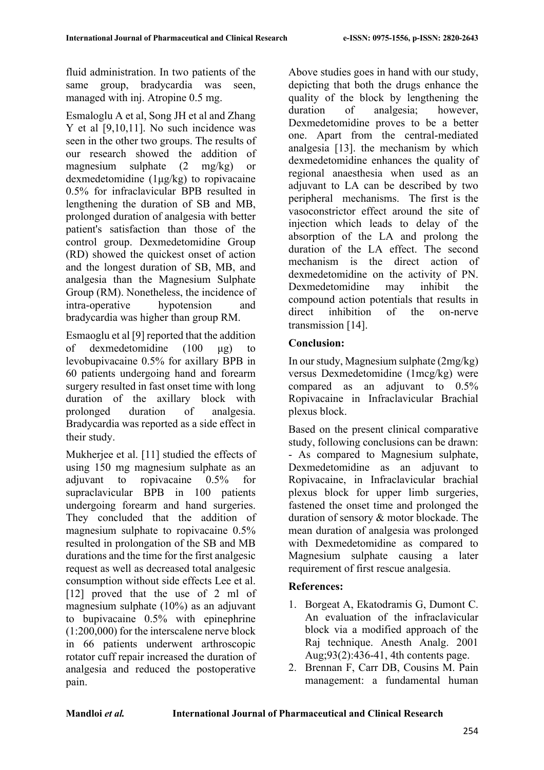fluid administration. In two patients of the same group, bradycardia was seen, managed with inj. Atropine 0.5 mg.

Esmaloglu A et al, Song JH et al and Zhang Y et al [9,10,11]. No such incidence was seen in the other two groups. The results of our research showed the addition of magnesium sulphate (2 mg/kg) or dexmedetomidine (1μg/kg) to ropivacaine 0.5% for infraclavicular BPB resulted in lengthening the duration of SB and MB, prolonged duration of analgesia with better patient's satisfaction than those of the control group. Dexmedetomidine Group (RD) showed the quickest onset of action and the longest duration of SB, MB, and analgesia than the Magnesium Sulphate Group (RM). Nonetheless, the incidence of intra-operative hypotension and bradycardia was higher than group RM.

Esmaoglu et al [9] reported that the addition of dexmedetomidine (100 μg) to levobupivacaine 0.5% for axillary BPB in 60 patients undergoing hand and forearm surgery resulted in fast onset time with long duration of the axillary block with prolonged duration of analgesia. Bradycardia was reported as a side effect in their study.

Mukherjee et al. [11] studied the effects of using 150 mg magnesium sulphate as an adjuvant to ropivacaine 0.5% for supraclavicular BPB in 100 patients undergoing forearm and hand surgeries. They concluded that the addition of magnesium sulphate to ropivacaine 0.5% resulted in prolongation of the SB and MB durations and the time for the first analgesic request as well as decreased total analgesic consumption without side effects Lee et al. [12] proved that the use of 2 ml of magnesium sulphate (10%) as an adjuvant to bupivacaine 0.5% with epinephrine (1:200,000) for the interscalene nerve block in 66 patients underwent arthroscopic rotator cuff repair increased the duration of analgesia and reduced the postoperative pain.

Above studies goes in hand with our study, depicting that both the drugs enhance the quality of the block by lengthening the duration of analgesia: however, Dexmedetomidine proves to be a better one. Apart from the central-mediated analgesia [13]. the mechanism by which dexmedetomidine enhances the quality of regional anaesthesia when used as an adjuvant to LA can be described by two peripheral mechanisms. The first is the vasoconstrictor effect around the site of injection which leads to delay of the absorption of the LA and prolong the duration of the LA effect. The second mechanism is the direct action of dexmedetomidine on the activity of PN. Dexmedetomidine may inhibit the compound action potentials that results in direct inhibition of the on-nerve transmission [14].

# **Conclusion:**

In our study, Magnesium sulphate (2mg/kg) versus Dexmedetomidine (1mcg/kg) were compared as an adjuvant to 0.5% Ropivacaine in Infraclavicular Brachial plexus block.

Based on the present clinical comparative study, following conclusions can be drawn: - As compared to Magnesium sulphate, Dexmedetomidine as an adjuvant to Ropivacaine, in Infraclavicular brachial plexus block for upper limb surgeries, fastened the onset time and prolonged the duration of sensory & motor blockade. The mean duration of analgesia was prolonged with Dexmedetomidine as compared to Magnesium sulphate causing a later requirement of first rescue analgesia.

# **References:**

- 1. Borgeat A, Ekatodramis G, Dumont C. An evaluation of the infraclavicular block via a modified approach of the Raj technique. Anesth Analg. 2001 Aug;93(2):436-41, 4th contents page.
- 2. Brennan F, Carr DB, Cousins M. Pain management: a fundamental human